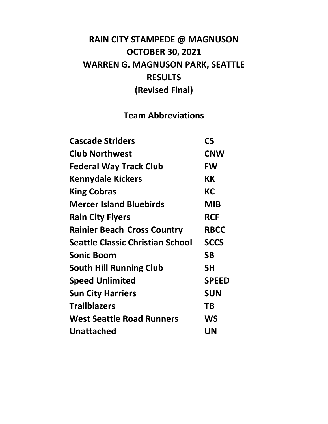# **RAIN CITY STAMPEDE @ MAGNUSON OCTOBER 30, 2021 WARREN G. MAGNUSON PARK, SEATTLE RESULTS (Revised Final)**

# **Team Abbreviations**

| <b>Cascade Striders</b>                 | CS           |
|-----------------------------------------|--------------|
| <b>Club Northwest</b>                   | <b>CNW</b>   |
| <b>Federal Way Track Club</b>           | <b>FW</b>    |
| <b>Kennydale Kickers</b>                | КK           |
| <b>King Cobras</b>                      | <b>KC</b>    |
| <b>Mercer Island Bluebirds</b>          | <b>MIB</b>   |
| <b>Rain City Flyers</b>                 | <b>RCF</b>   |
| <b>Rainier Beach Cross Country</b>      | <b>RBCC</b>  |
| <b>Seattle Classic Christian School</b> | <b>SCCS</b>  |
| <b>Sonic Boom</b>                       | <b>SB</b>    |
| <b>South Hill Running Club</b>          | <b>SH</b>    |
| <b>Speed Unlimited</b>                  | <b>SPEED</b> |
| <b>Sun City Harriers</b>                | <b>SUN</b>   |
| <b>Trailblazers</b>                     | ΤB           |
| <b>West Seattle Road Runners</b>        | WS           |
| <b>Unattached</b>                       | UN           |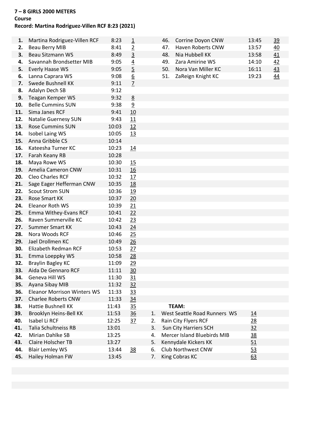# **7 – 8 GIRLS 2000 METERS**

# **Course**

# **Record: Martina Rodriguez-Villen RCF 8:23 (2021)**

| 1.         | Martina Rodriguez-Villen RCF                  | 8:23           | $\overline{1}$  |          | 46. | Corrine Doyon CNW                                    | 13:45 | <u>39</u> |
|------------|-----------------------------------------------|----------------|-----------------|----------|-----|------------------------------------------------------|-------|-----------|
| 2.         | <b>Beau Berry MIB</b>                         | 8:41           | $\overline{2}$  |          | 47. | Haven Roberts CNW                                    | 13:57 | 40        |
| 3.         | <b>Beau Sitzmann WS</b>                       | 8:49           | $\overline{3}$  |          | 48. | Nia Hubbell KK                                       | 13:58 | 41        |
| 4.         | Savannah Brondsetter MIB                      | 9:05           | $\underline{4}$ |          | 49. | Zara Amirine WS                                      | 14:10 | 42        |
| 5.         | <b>Everly Haase WS</b>                        | 9:05           | $\overline{5}$  |          | 50. | Nora Van Miller KC                                   | 16:11 | 43        |
| 6.         | Lanna Caprara WS                              | 9:08           | $\underline{6}$ |          | 51. | ZaReign Knight KC                                    | 19:23 | 44        |
| 7.         | Swede Bushnell KK                             | 9:11           | $\overline{1}$  |          |     |                                                      |       |           |
| 8.         | Adalyn Dech SB                                | 9:12           |                 |          |     |                                                      |       |           |
| 9.         | Teagan Kemper WS                              | 9:32           | $\underline{8}$ |          |     |                                                      |       |           |
| 10.        | <b>Belle Cummins SUN</b>                      | 9:38           | 9               |          |     |                                                      |       |           |
| 11.        | Sima Janes RCF                                | 9:41           | 10              |          |     |                                                      |       |           |
| 12.        | <b>Natalie Guernesy SUN</b>                   | 9:43           | 11              |          |     |                                                      |       |           |
| 13.        | <b>Rose Cummins SUN</b>                       | 10:03          | 12              |          |     |                                                      |       |           |
| 14.        | Isobel Laing WS                               | 10:05          | 13              |          |     |                                                      |       |           |
| 15.        | Anna Gribble CS                               | 10:14          |                 |          |     |                                                      |       |           |
| 16.        | Kateesha Turner KC                            | 10:23          | <u>14</u>       |          |     |                                                      |       |           |
| 17.        | Farah Keany RB                                | 10:28          |                 |          |     |                                                      |       |           |
| 18.        | Maya Rowe WS                                  | 10:30          | 15              |          |     |                                                      |       |           |
| 19.        | Amelia Cameron CNW                            | 10:31          | 16              |          |     |                                                      |       |           |
| 20.        | Cleo Charles RCF                              | 10:32          | 17              |          |     |                                                      |       |           |
| 21.        | Sage Eager Hefferman CNW                      | 10:35          | 18              |          |     |                                                      |       |           |
| 22.        | <b>Scout Strom SUN</b>                        | 10:36          | 19              |          |     |                                                      |       |           |
| 23.        | <b>Rose Smart KK</b>                          | 10:37          | 20              |          |     |                                                      |       |           |
| 24.        | Eleanor Roth WS                               | 10:39          | 21              |          |     |                                                      |       |           |
| 25.        | Emma Withey-Evans RCF                         | 10:41          | 22              |          |     |                                                      |       |           |
| 26.        | Raven Summerville KC                          | 10:42          | 23              |          |     |                                                      |       |           |
| 27.        | <b>Summer Smart KK</b>                        | 10:43          | 24              |          |     |                                                      |       |           |
| 28.        | Nora Woods RCF                                | 10:46          | 25              |          |     |                                                      |       |           |
| 29.        | Jael Drollmen KC                              | 10:49          | 26              |          |     |                                                      |       |           |
| 30.        | Elizabeth Redman RCF                          | 10:53          | 27              |          |     |                                                      |       |           |
| 31.        | Emma Loeppky WS                               | 10:58          | 28              |          |     |                                                      |       |           |
| 32.        | <b>Braylin Bagley KC</b>                      | 11:09          | 29              |          |     |                                                      |       |           |
| 33.        | Aida De Gennaro RCF                           | 11:11          | 30              |          |     |                                                      |       |           |
| 34.        | Geneva Hill WS                                | 11:30          | 31              |          |     |                                                      |       |           |
| 35.        | Ayana Sibay MIB                               | 11:32          | 32              |          |     |                                                      |       |           |
| 36.        | <b>Eleanor Morrison Winters WS</b>            | 11:33          | 33              |          |     |                                                      |       |           |
| 37.        | <b>Charlee Roberts CNW</b>                    | 11:33          | 34              |          |     |                                                      |       |           |
| 38.        | Hattie Bushnell KK                            | 11:43          | 35              |          |     | TEAM:                                                |       |           |
| 39.        | Brooklyn Heins-Bell KK                        | 11:53          | 36              | 1.       |     | West Seattle Road Runners WS                         | 14    |           |
| 40.        | Isabel Li RCF                                 | 12:25          | 37              | 2.       |     | Rain City Flyers RCF                                 | 28    |           |
| 41.        | <b>Talia Schultneiss RB</b>                   | 13:01          |                 | 3.       |     | Sun City Harriers SCH<br>Mercer Island Bluebirds MIB | 32    |           |
| 42.        | Mirian Dahlke SB<br><b>Claire Holscher TB</b> | 13:25<br>13:27 |                 | 4.<br>5. |     |                                                      | 38    |           |
| 43.<br>44. |                                               |                |                 | 6.       |     | Kennydale Kickers KK<br>Club Northwest CNW           | 51    |           |
| 45.        | <b>Blair Lemley WS</b><br>Hailey Holman FW    | 13:44<br>13:45 | 38              | 7.       |     | King Cobras KC                                       | 53    |           |
|            |                                               |                |                 |          |     |                                                      | 63    |           |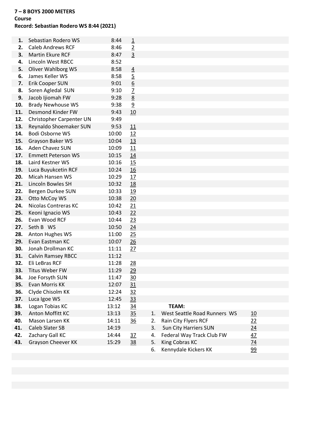#### **7 – 8 BOYS 2000 METERS**

#### **Course**

#### **Record: Sebastian Rodero WS 8:44 (2021)**

| 1.  | Sebastian Rodero WS       | 8:44  | $\overline{1}$  |    |                              |    |
|-----|---------------------------|-------|-----------------|----|------------------------------|----|
| 2.  | <b>Caleb Andrews RCF</b>  | 8:46  | $\overline{2}$  |    |                              |    |
| 3.  | <b>Martin Ekure RCF</b>   | 8:47  | $\overline{3}$  |    |                              |    |
| 4.  | Lincoln West RBCC         | 8:52  |                 |    |                              |    |
| 5.  | Oliver Wahlborg WS        | 8:58  | $\overline{4}$  |    |                              |    |
| 6.  | James Keller WS           | 8:58  | $\overline{5}$  |    |                              |    |
| 7.  | Erik Cooper SUN           | 9:01  | $\underline{6}$ |    |                              |    |
| 8.  | Soren Agledal SUN         | 9:10  | $\overline{1}$  |    |                              |    |
| 9.  | Jacob Ijiomah FW          | 9:28  | 8               |    |                              |    |
| 10. | <b>Brady Newhouse WS</b>  | 9:38  | $\overline{9}$  |    |                              |    |
| 11. | Desmond Kinder FW         | 9:43  | 10              |    |                              |    |
| 12. | Christopher Carpenter UN  | 9:49  |                 |    |                              |    |
| 13. | Reynaldo Shoemaker SUN    | 9:53  | 11              |    |                              |    |
| 14. | Bodi Osborne WS           | 10:00 | 12              |    |                              |    |
| 15. | Grayson Baker WS          | 10:04 | 13              |    |                              |    |
| 16. | Aden Chavez SUN           | 10:09 | 11              |    |                              |    |
| 17. | <b>Emmett Peterson WS</b> | 10:15 | 14              |    |                              |    |
| 18. | Laird Kestner WS          | 10:16 | 15              |    |                              |    |
| 19. | Luca Buyukcetin RCF       | 10:24 | 16              |    |                              |    |
| 20. | Micah Hansen WS           | 10:29 | 17              |    |                              |    |
| 21. | Lincoln Bowles SH         | 10:32 | 18              |    |                              |    |
| 22. | Bergen Durkee SUN         | 10:33 | 19              |    |                              |    |
| 23. | Otto McCoy WS             | 10:38 | 20              |    |                              |    |
| 24. | Nicolas Contreras KC      | 10:42 | 21              |    |                              |    |
| 25. | Keoni Ignacio WS          | 10:43 | 22              |    |                              |    |
| 26. | Evan Wood RCF             | 10:44 | 23              |    |                              |    |
| 27. | Seth B WS                 | 10:50 | 24              |    |                              |    |
| 28. | Anton Hughes WS           | 11:00 | 25              |    |                              |    |
| 29. | Evan Eastman KC           | 10:07 | 26              |    |                              |    |
| 30. | Jonah Drollman KC         | 11:11 | 27              |    |                              |    |
| 31. | <b>Calvin Ramsey RBCC</b> | 11:12 |                 |    |                              |    |
| 32. | Eli LeBras RCF            | 11:28 | 28              |    |                              |    |
| 33. | <b>Titus Weber FW</b>     | 11:29 | 29              |    |                              |    |
| 34. | Joe Forsyth SUN           | 11:47 | <u>30</u>       |    |                              |    |
| 35. | Evan Morris KK            | 12:07 | 31              |    |                              |    |
| 36. | Clyde Chisolm KK          | 12:24 | 32              |    |                              |    |
| 37. | Luca Igoe WS              | 12:45 | 33              |    |                              |    |
| 38. | Logan Tobias KC           | 13:12 | $\frac{34}{5}$  |    | TEAM:                        |    |
| 39. | Anton Moffitt KC          | 13:13 | 35              | 1. | West Seattle Road Runners WS | 10 |
| 40. | Mason Larsen KK           | 14:11 | 36              | 2. | Rain City Flyers RCF         | 22 |
| 41. | <b>Caleb Slater SB</b>    | 14:19 |                 | 3. | Sun City Harriers SUN        | 24 |
| 42. | Zachary Gall KC           | 14:44 | $\frac{37}{2}$  | 4. | Federal Way Track Club FW    | 47 |
| 43. | Grayson Cheever KK        | 15:29 | 38              | 5. | King Cobras KC               | 74 |
|     |                           |       |                 | 6. | Kennydale Kickers KK         | 99 |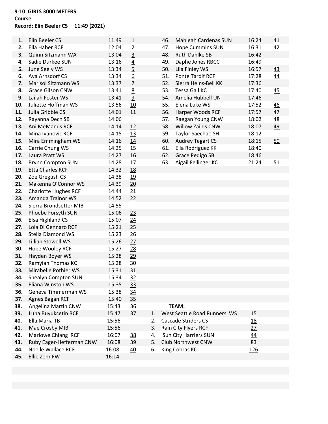# **9-10 GIRLS 3000 METERS Course**

# **Record: Elin Beeler CS 11:49 (2021)**

| 1.  | Elin Beeler CS              | 11:49 | <u>1</u>        |    | 46. | <b>Mahleah Cardenas SUN</b>  | 16:24     | 41        |
|-----|-----------------------------|-------|-----------------|----|-----|------------------------------|-----------|-----------|
| 2.  | Ella Haber RCF              | 12:04 | $\overline{2}$  |    | 47. | <b>Hope Cummins SUN</b>      | 16:31     | 42        |
| 3.  | Quinn Sitzmann WA           | 13:04 | $\overline{3}$  |    | 48. | <b>Ruth Dahlke SB</b>        | 16:42     |           |
| 4.  | Sadie Durkee SUN            | 13:16 | $\overline{4}$  |    | 49. | Daphe Jones RBCC             | 16:49     |           |
| 5.  | June Seely WS               | 13:34 | $\overline{5}$  |    | 50. | Lila Finley WS               | 16:57     | 43        |
| 6.  | Ava Arnsdorf CS             | 13:34 | $\underline{6}$ |    | 51. | <b>Ponte Tardif RCF</b>      | 17:28     | 44        |
| 7.  | <b>Marisol Sitzmann WS</b>  | 13:37 | $\overline{1}$  |    | 52. | Sierra Heins-Bell KK         | 17:36     |           |
| 8.  | <b>Grace Gilson CNW</b>     | 13:41 | 8               |    | 53. | <b>Tessa Gall KC</b>         | 17:40     | 45        |
| 9.  | Lailah Foster WS            | 13:41 | 9               |    | 54. | Amelia Hubbell UN            | 17:46     |           |
| 10. | Juliette Hoffman WS         | 13:56 | 10              |    | 55. | Elena Luke WS                | 17:52     | <u>46</u> |
| 11. | Julia Gribble CS            | 14:01 | 11              |    | 56. | Harper Woods RCF             | 17:57     | 47        |
| 12. | Rayanna Dech SB             | 14:06 |                 |    | 57. | Raegan Young CNW             | 18:02     | 48        |
| 13. | Ani MeManus RCF             | 14:14 | 12              |    | 58. | <b>Willow Zainis CNW</b>     | 18:07     | 49        |
| 14. | Mina Ivanovic RCF           | 14:15 | 13              |    | 59. | Taylor Saechao SH            | 18:12     |           |
| 15. | Mira Emmingham WS           | 14:16 | 14              |    | 60. | <b>Audrey Tegart CS</b>      | 18:15     | 50        |
| 16. | Carrie Chung WS             | 14:25 | 15              |    | 61. | Ella Rodriguez KK            | 18:40     |           |
| 17. | Laura Pratt WS              | 14:27 | 16              |    | 62. | <b>Grace Pedigo SB</b>       | 18:46     |           |
| 18. | <b>Brynn Compton SUN</b>    | 14:28 | 17              |    | 63. | Aigail Fellinger KC          | 21:24     | 51        |
| 19. | <b>Etta Charles RCF</b>     | 14:32 | <u>18</u>       |    |     |                              |           |           |
| 20. | Zoe Gregush CS              | 14:38 | 19              |    |     |                              |           |           |
| 21. | Makenna O'Connor WS         | 14:39 | 20              |    |     |                              |           |           |
| 22. | <b>Charlotte Hughes RCF</b> | 14:44 | 21              |    |     |                              |           |           |
| 23. | <b>Amanda Trainor WS</b>    | 14:52 | 22              |    |     |                              |           |           |
| 24. | Sierra Brondsetter MIB      | 14:55 |                 |    |     |                              |           |           |
| 25. | Phoebe Forsyth SUN          | 15:06 | 23              |    |     |                              |           |           |
| 26. | <b>Elsa Highland CS</b>     | 15:07 | 24              |    |     |                              |           |           |
| 27. | Lola Di Gennaro RCF         | 15:21 | 25              |    |     |                              |           |           |
| 28. | <b>Stella Diamond WS</b>    | 15:23 | 26              |    |     |                              |           |           |
| 29. | Lillian Stowell WS          | 15:26 | 27              |    |     |                              |           |           |
| 30. | Hope Wooley RCF             | 15:27 | 28              |    |     |                              |           |           |
| 31. | Hayden Boyer WS             | 15:28 | 29              |    |     |                              |           |           |
| 32. | Ramyiah Thomas KC           | 15:28 | 30              |    |     |                              |           |           |
| 33. | Mirabelle Pothier WS        | 15:31 | 31              |    |     |                              |           |           |
| 34. | Shealyn Compton SUN         | 15:34 | 32              |    |     |                              |           |           |
| 35. | Eliana Winston WS           | 15:35 | 33              |    |     |                              |           |           |
| 36. | Geneva Timmerman WS         | 15:38 | $\frac{34}{5}$  |    |     |                              |           |           |
| 37. | Agnes Bagan RCF             | 15:40 | 35              |    |     |                              |           |           |
| 38. | Angelina Martin CNW         | 15:43 | 36              |    |     | TEAM:                        |           |           |
| 39. | Luna Buyukcetin RCF         | 15:47 | 37              | 1. |     | West Seattle Road Runners WS | 15        |           |
| 40. | Ella Maria TB               | 15:56 |                 | 2. |     | <b>Cascade Striders CS</b>   | <u>18</u> |           |
| 41. | Mae Crosby MIB              | 15:56 |                 | 3. |     | Rain City Flyers RCF         | 27        |           |
| 42. | Marlowe Chiang RCF          | 16:07 | <u>38</u>       | 4. |     | <b>Sun City Harriers SUN</b> | 44        |           |
| 43. | Ruby Eager-Hefferman CNW    | 16:08 | <u>39</u>       | 5. |     | Club Northwest CNW           | 83        |           |
| 44. | Noelle Wallace RCF          | 16:08 | 40              | 6. |     | King Cobras KC               | 126       |           |
| 45. | Ellie Zehr FW               | 16:14 |                 |    |     |                              |           |           |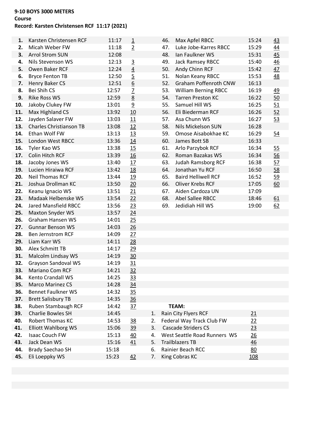# **9-10 BOYS 3000 METERS**

# **Course**

# **Record: Karsten Christensen RCF 11:17 (2021)**

| 1.         | Karsten Christensen RCF              | 11:17          | $\overline{1}$  |    | 46. | Max Apfel RBCC               | 15:24 | 43        |
|------------|--------------------------------------|----------------|-----------------|----|-----|------------------------------|-------|-----------|
| 2.         | Micah Weber FW                       | 11:18          | $\overline{2}$  |    | 47. | Luke Jobe-Karres RBCC        | 15:29 | 44        |
| 3.         | <b>Arrol Strom SUN</b>               | 12:08          |                 |    | 48. | Ian Faulkner WS              | 15:31 | 45        |
| 4.         | Nils Stevenson WS                    | 12:13          | $\overline{3}$  |    | 49. | Jack Ramsey RBCC             | 15:40 | 46        |
| 5.         | Owen Baker RCF                       | 12:24          | $\underline{4}$ |    | 50. | Andy Chinn RCF               | 15:42 | 47        |
| 6.         | <b>Bryce Fenton TB</b>               | 12:50          | $\overline{5}$  |    | 51. | Nolan Keany RBCC             | 15:53 | <u>48</u> |
| 7.         | Henry Baker CS                       | 12:51          | $\underline{6}$ |    | 52. | <b>Graham Poffenroth CNW</b> | 16:13 |           |
| 8.         | Bei Shih CS                          | 12:57          | $\overline{1}$  |    | 53. | <b>William Berning RBCC</b>  | 16:19 | <u>49</u> |
| 9.         | <b>Rike Ross WS</b>                  | 12:59          | 8               |    | 54. | <b>Tarren Preston KC</b>     | 16:22 | 50        |
| 10.        | Jakoby Clukey FW                     | 13:01          | $\overline{9}$  |    | 55. | Samuel Hill WS               | 16:25 | 51        |
| 11.        | Max Highland CS                      | 13:92          | 10              |    | 56. | Eli Biederman RCF            | 16:26 | 52        |
| 12.        | Jayden Salaver FW                    | 13:03          | 11              |    | 57. | Asa Chunn WS                 | 16:27 | 53        |
| 13.        | <b>Charles Christianson TB</b>       | 13:08          | 12              |    | 58. | Nils Mickelson SUN           | 16:28 |           |
| 14.        | Ethan Wolf FW                        | 13:13          | 13              |    | 59. | Omose Aisabokhae KC          | 16:29 | 54        |
| 15.        | London West RBCC                     | 13:36          | 14              |    | 60. | James Bott SB                | 16:33 |           |
| 16.        | Tyler Kao WS                         | 13:38          | 15              |    | 61. | Arlo Parzybok RCF            | 16:34 | 55        |
| 17.        | Colin Hitch RCF                      | 13:39          | 16              |    | 62. | Roman Bazakas WS             | 16:34 | 56        |
| 18.        | Jacoby Jones WS                      | 13:40          | 17              |    | 63. | <b>Judah Ramsborg RCF</b>    | 16:38 | 57        |
| 19.        | Lucien Hiraiwa RCF                   | 13:42          | 18              |    | 64. | Jonathan Yu RCF              | 16:50 | 58        |
| 20.        | <b>Neil Thomas RCF</b>               | 13:44          | 19              |    | 65. | <b>Baird Helliwell RCF</b>   | 16:52 | 59        |
| 21.        | Joshua Drollman KC                   | 13:50          | 20              |    | 66. | <b>Oliver Krebs RCF</b>      | 17:05 | 60        |
| 22.        | Keanu Ignacio WS                     | 13:51          | 21              |    | 67. | Aiden Cardoza UN             | 17:09 |           |
| 23.        | Madaak Helbenske WS                  | 13:54          | 22              |    | 68. | Abel Sallee RBCC             | 18:46 | 61        |
| 24.        | <b>Jared Mansfield RBCC</b>          | 13:56          | 23              |    | 69. | Jedidiah Hill WS             | 19:00 | 62        |
| 25.        | <b>Maxton Snyder WS</b>              | 13:57          | 24              |    |     |                              |       |           |
| 26.        | Graham Hansen WS                     | 14:01          | 25              |    |     |                              |       |           |
| 27.        | <b>Gunnar Benson WS</b>              | 14:03          | 26              |    |     |                              |       |           |
| 28.        | <b>Ben Jernstrom RCF</b>             | 14:09          | 27              |    |     |                              |       |           |
| 29.        | Liam Karr WS                         | 14:11          | 28              |    |     |                              |       |           |
| 30.        | Alex Schmitt TB                      | 14:17          | 29              |    |     |                              |       |           |
| 31.        | Malcolm Lindsay WS                   | 14:19          | 30              |    |     |                              |       |           |
| 32.        | <b>Grayson Sandoval WS</b>           | 14:19          | 31              |    |     |                              |       |           |
| 33.<br>34. | Mariano Com RCF<br>Kento Crandall WS | 14:21<br>14:25 | 32              |    |     |                              |       |           |
| 35.        | <b>Marco Marinez CS</b>              | 14:28          | 33<br>34        |    |     |                              |       |           |
| 36.        | <b>Bennet Faulkner WS</b>            | 14:32          | 35              |    |     |                              |       |           |
| 37.        | <b>Brett Salisbury TB</b>            | 14:35          | 36              |    |     |                              |       |           |
| 38.        | Ruben Stambaugh RCF                  | 14:42          | 37              |    |     | TEAM:                        |       |           |
| 39.        | Charlie Bowles SH                    | 14:45          |                 | 1. |     | Rain City Flyers RCF         | 21    |           |
| 40.        | <b>Robert Thomas KC</b>              | 14:53          | <u>38</u>       | 2. |     | Federal Way Track Club FW    | 22    |           |
| 41.        | <b>Elliott Wahlborg WS</b>           | 15:06          | 39              | 3. |     | <b>Cascade Striders CS</b>   | 23    |           |
| 42.        | <b>Isaac Couch FW</b>                | 15:13          | 40              | 4. |     | West Seattle Road Runners WS | 26    |           |
| 43.        | Jack Dean WS                         | 15:16          | 41              | 5. |     | <b>Trailblazers TB</b>       | 46    |           |
| 44.        | <b>Brady Saechao SH</b>              | 15:18          |                 | 6. |     | Rainier Beach RCC            | 80    |           |
| 45.        | Eli Loeppky WS                       | 15:23          | 42              | 7. |     | King Cobras KC               | 108   |           |
|            |                                      |                |                 |    |     |                              |       |           |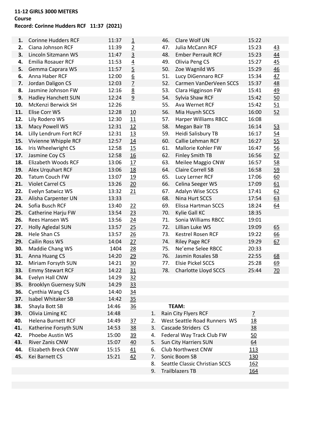#### **11-12 GIRLS 3000 METERS**

# **Course**

# **Record: Corinne Hudders RCF 11:37 (2021)**

| 1.  | <b>Corinne Hudders RCF</b>   | 11:37 | $\overline{1}$  |    | 46. | Clare Wolf UN                  | 15:22          |                |
|-----|------------------------------|-------|-----------------|----|-----|--------------------------------|----------------|----------------|
| 2.  | Ciana Johnson RCF            | 11:39 | $\overline{2}$  |    | 47. | Julia McCann RCF               | 15:23          | 43             |
| 3.  | Lincoln Sitzmann WS          | 11:47 | $\overline{3}$  |    | 48. | <b>Ember Perrault RCF</b>      | 15:23          | 44             |
| 4.  | <b>Emilia Rosauer RCF</b>    | 11:53 | $\overline{4}$  |    | 49. | Olivia Peng CS                 | 15:27          | 45             |
| 5.  | Gemma Caprara WS             | 11:57 | $\overline{5}$  |    | 50. | Zoe Wagnild WS                 | 15:29          | 46             |
| 6.  | Anna Haber RCF               | 12:00 | $\underline{6}$ |    | 51. | Lucy DiGennaro RCF             | 15:34          | 47             |
| 7.  | Jordan Daligon CS            | 12:03 | $\overline{1}$  |    | 52. | Carmen VanDerVeen SCCS         | 15:37          | 48             |
| 8.  | Jasmine Johnson FW           | 12:16 | 8               |    | 53. | Clara Higginson FW             | 15:41          | 49             |
| 9.  | <b>Hadley Hanchett SUN</b>   | 12:24 | $\overline{9}$  |    | 54. | Sylvia Shaw RCF                | 15:42          | 50             |
| 10. | McKenzi Berwick SH           | 12:26 |                 |    | 55. | Ava Wernet RCF                 | 15:42          | 51             |
| 11. | Elise Corr WS                | 12:28 | 10              |    | 56. | Mia Huynh SCCS                 | 16:00          | 52             |
| 12. | Lily Rodero WS               | 12:30 | 11              |    | 57. | Harper Williams RBCC           | 16:08          |                |
| 13. | Macy Powell WS               | 12:31 | 12              |    | 58. | Megan Bair TB                  | 16:14          | 53             |
| 14. | Lilly Lendrum Fort RCF       | 12:31 | 13              |    | 59. | Heidi Salisbury TB             | 16:17          | $\frac{54}{1}$ |
| 15. | Vivienne Whipple RCF         | 12:57 | 14              |    | 60. | Callie Lehman RCF              | 16:27          | 55             |
| 16. | Iris Wheelwright CS          | 12:58 | 15              |    | 61. | Mallorie Kohler FW             | 16:47          | 56             |
| 17. | Jasmine Coy CS               | 12:58 | 16              |    | 62. | <b>Finley Smith TB</b>         | 16:56          | 57             |
| 18. | <b>Elizabeth Woods RCF</b>   | 13:06 | 17              |    | 63. | Meilee Maggio CNW              | 16:57          | 58             |
| 19. | Alex Urquhart RCF            | 13:06 | <u>18</u>       |    | 64. | <b>Claire Correll SB</b>       | 16:58          | 59             |
| 20. | <b>Tatum Couch FW</b>        | 13:07 | 19              |    | 65. | Lucy Lerner RCF                | 17:06          | 60             |
| 21. | <b>Violet Carrel CS</b>      | 13:26 | 20              |    | 66. | Celina Seeger WS               | 17:09          | 61             |
| 22. | Evelyn Satwicz WS            | 13:32 | 21              |    | 67. | Adalyn Wise SCCS               | 17:41          | 62             |
| 23. | Alisha Carpenter UN          | 13:33 |                 |    | 68. | Nina Hurt SCCS                 | 17:54          | 63             |
| 24. | Sofia Busch RCF              | 13:40 | 22              |    | 69. | Elissa Hartman SCCS            | 18:24          | 64             |
| 25. | Catherine Harju FW           | 13:54 | 23              |    | 70. | Kylie Gall KC                  | 18:35          |                |
| 26. | Rees Hansen WS               | 13:56 | 24              |    | 71. | Sonia Williams RBCC            | 19:01          |                |
| 27. | Holly Agledal SUN            | 13:57 | 25              |    | 72. | Lillian Luke WS                | 19:09          | 65             |
| 28. | <b>Hele Shan CS</b>          | 13:57 | 26              |    | 73. | <b>Kestrel Rosen RCF</b>       | 19:22          | 66             |
| 29. | Cailin Ross WS               | 14:04 | 27              |    | 74. | <b>Riley Page RCF</b>          | 19:29          | 67             |
| 30. | Maddie Chang WS              | 1404  | 28              |    | 75. | Ne'eme Selee RBCC              | 20:33          |                |
| 31. | Anna Huang CS                | 14:20 | 29              |    | 76. | Jasmin Rosales SB              | 22:55          | 68             |
| 32. | Miriam Forsyth SUN           | 14:21 | 30              |    | 77. | <b>Elsie Pickel SCCS</b>       | 25:28          | 69             |
| 33. | <b>Emmy Stewart RCF</b>      | 14:22 | 31              |    | 78. | <b>Charlotte Lloyd SCCS</b>    | 25:44          | 70             |
| 34. | Evelyn Hall CNW              | 14:29 | 32              |    |     |                                |                |                |
| 35. | <b>Brooklyn Guernesy SUN</b> | 14:29 | 33              |    |     |                                |                |                |
| 36. | Cynthia Wang CS              | 14:40 | $\frac{34}{5}$  |    |     |                                |                |                |
| 37. | <b>Isabel Whitaker SB</b>    | 14:42 | 35              |    |     |                                |                |                |
| 38. | Shayla Bott SB               | 14:46 | 36              |    |     | TEAM:                          |                |                |
| 39. | Olivia Liming KC             | 14:48 |                 | 1. |     | Rain City Flyers RCF           | $\overline{7}$ |                |
| 40. | <b>Helena Burnett RCF</b>    | 14:49 | 37              | 2. |     | West Seattle Road Runners WS   | 18             |                |
| 41. | Katherine Forsyth SUN        | 14:53 | <u>38</u>       | 3. |     | Cascade Striders CS            | $\frac{38}{5}$ |                |
| 42. | <b>Phoebe Austin WS</b>      | 15:00 | <u>39</u>       | 4. |     | Federal Way Track Club FW      | 50             |                |
| 43. | River Zanis CNW              | 15:07 | 40              | 5. |     | Sun City Harriers SUN          | 64             |                |
| 44. | Elizabeth Breck CNW          | 15:15 | 41              | 6. |     | Club Northwest CNW             | <u>113</u>     |                |
| 45. | Kei Barnett CS               | 15:21 | 42              | 7. |     | Sonic Boom SB                  | 130            |                |
|     |                              |       |                 | 8. |     | Seattle Classic Christian SCCS | 162            |                |
|     |                              |       |                 | 9. |     | <b>Trailblazers TB</b>         | 164            |                |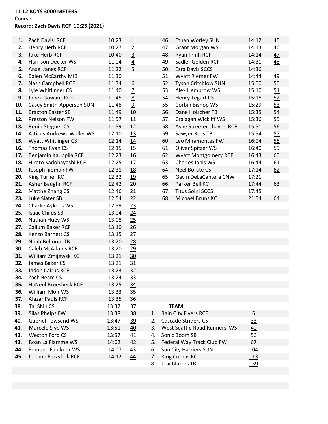### **11-12 BOYS 3000 METERS Course Record: Zach Davis RCF 10:23 (2021)**

| 1.  | Zach Davis RCF                   | 10:23 | $\overline{1}$  |    | 46. | Ethan Worley SUN             | 14:12            | 45        |
|-----|----------------------------------|-------|-----------------|----|-----|------------------------------|------------------|-----------|
| 2.  | Henry Herb RCF                   | 10:27 | $\overline{2}$  |    | 47. | <b>Grant Morgan WS</b>       | 14:13            | 46        |
| 3.  | Jake Herb RCF                    | 10:40 | $\overline{3}$  |    | 48. | <b>Ryan Trinh RCF</b>        | 14:14            | 47        |
| 4.  | <b>Harrison Decker WS</b>        | 11:04 | $\underline{4}$ |    | 49. | Sadler Golden RCF            | 14:31            | <u>48</u> |
| 5.  | Ansel Janes RCF                  | 11:22 | $\overline{5}$  |    | 50. | <b>Ezra Davis SCCS</b>       | 14:36            |           |
| 6.  | <b>Balen McCarthy MIB</b>        | 11:30 |                 |    | 51. | Wyatt Riemer FW              | 14:44            | <u>49</u> |
| 7.  | Nash Campbell RCF                | 11:34 | $\underline{6}$ |    | 52. | <b>Tyson Critchlow SUN</b>   | 15:00            | 50        |
| 8.  | Lyle Whitlinger CS               | 11:40 | $\overline{2}$  |    | 53. | Alex Hembrow WS              | 15:10            | 51        |
| 9.  | <b>Janek Gowans RCF</b>          | 11:45 | 8               |    | 54. | <b>Henry Tegart CS</b>       | 15:18            | 52        |
| 10. | Casey Smith-Apperson SUN         | 11:48 | $\overline{9}$  |    | 55. | Corbin Bishop WS             | 15:29            | 53        |
| 11. | <b>Braxton Easter SB</b>         | 11:49 | 10              |    | 56. | Dane Holscher TB             | 15:35            | 54        |
| 12. | Preston Nelson FW                | 11:57 | 11              |    | 57. | Craiggan Wickliff WS         | 15:36            | 55        |
| 13. | <b>Ronin Stegner CS</b>          | 11:59 | 12              |    | 58. | Ashe Streeter-Jhaveri RCF    | 15:51            | 56        |
| 14. | <b>Atticus Andrews-Waller WS</b> | 12:10 | 13              |    | 59. | Sawyer Ross TB               | 15:54            | 57        |
| 15. | <b>Wyatt Whitlinger CS</b>       | 12:14 | 14              |    | 60. | Leo Miramontes FW            | 16:04            | 58        |
| 16. | Thomas Ryan CS                   | 12:15 | 15              |    | 61. | Oliver Spitzer WS            | 16:40            | 59        |
| 17. | Benjamin Kauppila RCF            | 12:23 | 16              |    | 62. | <b>Wyatt Montgomery RCF</b>  | 16:43            | 60        |
| 18. | Hiroto Kadobayashi RCF           | 12:25 | 17              |    | 63. | Charles Janis WS             | 16:44            | 61        |
| 19. | Joseph Ijiomah FW                | 12:31 | 18              |    | 64. | <b>Neel Borate CS</b>        | 17:14            | 62        |
| 20. | King Turner KC                   | 12:32 | 19              |    | 65. | Gavin DeLaCantera CNW        | 17:21            |           |
| 21. | Asher Baughn RCF                 | 12:42 | 20              |    | 66. | Parker Bell KC               | 17:44            | 63        |
| 22. | Matthe Zhang CS                  | 12:46 | 21              |    | 67. | <b>Titus Soini SCCS</b>      | 17:45            |           |
| 23. | Luke Slater SB                   | 12:54 | 22              |    | 68. | Michael Bruns KC             | 21:54            | 64        |
| 24. | Charlie Aykens WS                | 12:59 | 23              |    |     |                              |                  |           |
| 25. | <b>Isaac Childs SB</b>           | 13:04 | 24              |    |     |                              |                  |           |
| 26. | Nathan Huey WS                   | 13:08 | 25              |    |     |                              |                  |           |
| 27. | Callum Baker RCF                 | 13:10 | 26              |    |     |                              |                  |           |
| 28. | Kenzo Barnett CS                 | 13:15 | 27              |    |     |                              |                  |           |
| 29. | Noah Behunin TB                  | 13:20 | 28              |    |     |                              |                  |           |
| 30. | <b>Caleb McAdams RCF</b>         | 13:20 | 29              |    |     |                              |                  |           |
| 31. | William Zmijewski KC             | 13:21 | 30              |    |     |                              |                  |           |
| 32. | James Baker CS                   | 13:21 | 31              |    |     |                              |                  |           |
| 33. | Jadon Cairus RCF                 | 13:23 | 32              |    |     |                              |                  |           |
| 34. | Zach Beam CS                     | 13:24 | <u>33</u>       |    |     |                              |                  |           |
| 35. | <b>HaNeul Broesbeck RCF</b>      | 13:25 | 34              |    |     |                              |                  |           |
| 36. | William Moir WS                  | 13:33 | 35              |    |     |                              |                  |           |
| 37. | <b>Alazar Pauls RCF</b>          | 13:35 | 36              |    |     |                              |                  |           |
| 38. | Tai Shih CS                      | 13:37 | 37              |    |     | TEAM:                        |                  |           |
| 39. | Silas Phelps FW                  | 13:38 | <u>38</u>       | 1. |     | Rain City Flyers RCF         | $6 \overline{6}$ |           |
| 40. | <b>Gabriel Towsend WS</b>        | 13:47 | 39              | 2. |     | <b>Cascade Striders CS</b>   | 33               |           |
| 41. | Marcelo Slye WS                  | 13:51 | 40              | 3. |     | West Seattle Road Runners WS | 40               |           |
| 42. | <b>Weston Ford CS</b>            | 13:57 | 41              | 4. |     | Sonic Boom SB                | 56               |           |
| 43. | Roan La Flamme WS                | 14:02 | 42              | 5. |     | Federal Way Track Club FW    | 67               |           |
| 44. | <b>Edmund Faulkner WS</b>        | 14:07 | 43              | 6. |     | Sun City Harriers SUN        | 104              |           |
| 45. | Jerome Parzybok RCF              | 14:12 | 44              | 7. |     | King Cobras KC               | 113              |           |
|     |                                  |       |                 | 8. |     | <b>Trailblazers TB</b>       | <u>139</u>       |           |
|     |                                  |       |                 |    |     |                              |                  |           |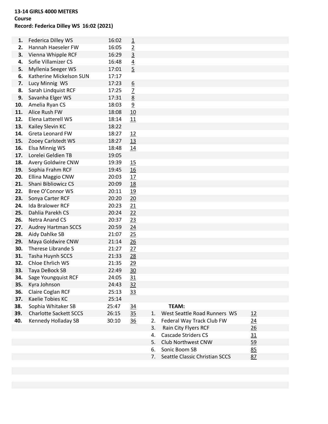#### **13-14 GIRLS 4000 METERS**

#### **Course**

# **Record: Federica Dilley WS 16:02 (2021)**

| 1.         | Federica Dilley WS                    | 16:02          |                                  |    |                              |                |
|------------|---------------------------------------|----------------|----------------------------------|----|------------------------------|----------------|
| 2.         | Hannah Haeseler FW                    | 16:05          | $\overline{1}$                   |    |                              |                |
| 3.         | Vienna Whipple RCF                    | 16:29          | $\overline{2}$<br>$\overline{3}$ |    |                              |                |
| 4.         | Sofie Villamizer CS                   | 16:48          |                                  |    |                              |                |
| 5.         | Myllenia Seeger WS                    | 17:01          | $\overline{4}$<br>$\overline{5}$ |    |                              |                |
| 6.         | Katherine Mickelson SUN               | 17:17          |                                  |    |                              |                |
| 7.         |                                       | 17:23          |                                  |    |                              |                |
| 8.         | Lucy Minnig WS<br>Sarah Lindquist RCF | 17:25          | $\underline{6}$                  |    |                              |                |
| 9.         |                                       |                | $\overline{2}$                   |    |                              |                |
|            | Savanha Elger WS<br>Amelia Ryan CS    | 17:31          | $\underline{8}$                  |    |                              |                |
| 10.<br>11. | Alice Rush FW                         | 18:03<br>18:08 | $\overline{9}$                   |    |                              |                |
|            | Elena Latterell WS                    |                | 10                               |    |                              |                |
| 12.        |                                       | 18:14          | 11                               |    |                              |                |
| 13.        | Kailey Slevin KC                      | 18:22          |                                  |    |                              |                |
| 14.        | Greta Leonard FW                      | 18:27          | 12                               |    |                              |                |
| 15.        | Zooey Carlstedt WS                    | 18:27          | 13                               |    |                              |                |
| 16.        | Elsa Minnig WS                        | 18:48          | <u>14</u>                        |    |                              |                |
| 17.        | Lorelei Geldien TB                    | 19:05          |                                  |    |                              |                |
| 18.        | Avery Goldwire CNW                    | 19:39          | <u>15</u>                        |    |                              |                |
| 19.        | Sophia Frahm RCF                      | 19:45          | 16                               |    |                              |                |
| 20.        | Ellina Maggio CNW                     | 20:03          | 17                               |    |                              |                |
| 21.        | Shani Bibliowicz CS                   | 20:09          | 18                               |    |                              |                |
| 22.        | Bree O'Connor WS                      | 20:11          | 19                               |    |                              |                |
| 23.        | Sonya Carter RCF                      | 20:20          | 20                               |    |                              |                |
| 24.        | Ida Bralower RCF                      | 20:23          | 21                               |    |                              |                |
| 25.        | Dahlia Parekh CS                      | 20:24          | 22                               |    |                              |                |
| 26.        | Netra Anand CS                        | 20:37          | 23                               |    |                              |                |
| 27.        | <b>Audrey Hartman SCCS</b>            | 20:59          | 24                               |    |                              |                |
| 28.        | Aidy Dahlke SB                        | 21:07          | 25                               |    |                              |                |
| 29.        | Maya Goldwire CNW                     | 21:14          | 26                               |    |                              |                |
| 30.        | Therese Librande S                    | 21:27          | 27                               |    |                              |                |
| 31.        | Tasha Huynh SCCS                      | 21:33          | 28                               |    |                              |                |
| 32.        | Chloe Ehrlich WS                      | 21:35          | 29                               |    |                              |                |
| 33.        | Taya DeBock SB                        | 22:49          | $\overline{30}$                  |    |                              |                |
| 34.        | Sage Youngquist RCF                   | 24:05          | 31                               |    |                              |                |
| 35.        | Kyra Johnson                          | 24:43          | 32                               |    |                              |                |
| 36.        | Claire Coglan RCF                     | 25:13          | 33                               |    |                              |                |
| 37.        | Kaelie Tobies KC                      | 25:14          |                                  |    |                              |                |
| 38.        | Sophia Whitaker SB                    | 25:47          | 34                               |    | <b>TEAM:</b>                 |                |
| 39.        | <b>Charlotte Sackett SCCS</b>         | 26:15          | 35                               | 1. | West Seattle Road Runners WS | <u> 12</u>     |
| 40.        | Kennedy Holladay SB                   | 30:10          | 36                               | 2. | Federal Way Track Club FW    | <u>24</u>      |
|            |                                       |                |                                  | 3. | Rain City Flyers RCF         | $\frac{26}{5}$ |
|            |                                       |                |                                  |    |                              |                |

| 1. West Seattle Road Runners WS   | 12 |  |
|-----------------------------------|----|--|
| 2. Federal Way Track Club FW      | 24 |  |
| 3. Rain City Flyers RCF           | 26 |  |
| 4. Cascade Striders CS            | 31 |  |
| 5. Club Northwest CNW             | 59 |  |
| 6. Sonic Boom SB                  | 85 |  |
| 7. Seattle Classic Christian SCCS | 87 |  |
|                                   |    |  |